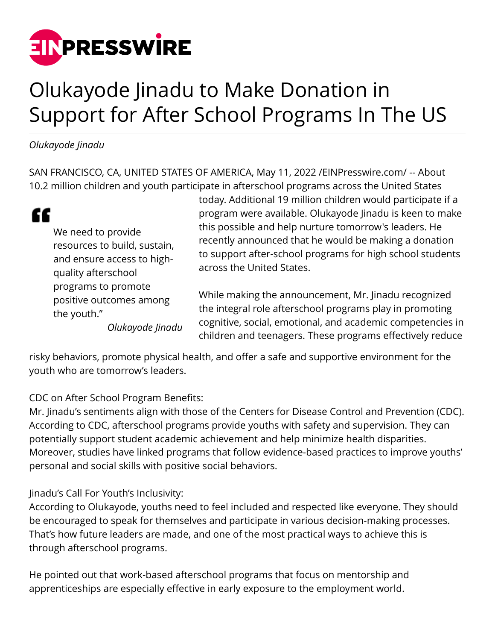

## Olukayode Jinadu to Make Donation in Support for After School Programs In The US

*Olukayode Jinadu*

SAN FRANCISCO, CA, UNITED STATES OF AMERICA, May 11, 2022 /[EINPresswire.com/](http://www.einpresswire.com) -- About 10.2 million children and youth participate in afterschool programs across the United States

| "                            | prog  |
|------------------------------|-------|
| We need to provide           | this  |
| resources to build, sustain, | rece  |
| and ensure access to high-   | to si |
| quality afterschool          | acrc  |
| programs to promote          | Whi   |
| positive outcomes among      | the   |
| the youth."                  | ----  |

*Olukayode Jinadu*

today. Additional 19 million children would participate if a gram were available. Olukayode Jinadu is keen to make possible and help nurture tomorrow's leaders. He ntly announced that he would be making a donation upport after-school programs for high school students ss the United States.

e making the announcement, Mr. Jinadu recognized integral role afterschool programs play in promoting cognitive, social, emotional, and academic competencies in children and teenagers. These programs effectively reduce

risky behaviors, promote physical health, and offer a safe and supportive environment for the youth who are tomorrow's leaders.

CDC on After School Program Benefits:

Mr. Jinadu's sentiments align with those of the Centers for Disease Control and Prevention (CDC). According to CDC, afterschool programs provide youths with safety and supervision. They can potentially support student academic achievement and help minimize health disparities. Moreover, studies have linked programs that follow evidence-based practices to improve youths' personal and social skills with positive social behaviors.

Jinadu's Call For Youth's Inclusivity:

According to Olukayode, youths need to feel included and respected like everyone. They should be encouraged to speak for themselves and participate in various decision-making processes. That's how future leaders are made, and one of the most practical ways to achieve this is through afterschool programs.

He pointed out that work-based afterschool programs that focus on mentorship and apprenticeships are especially effective in early exposure to the employment world.